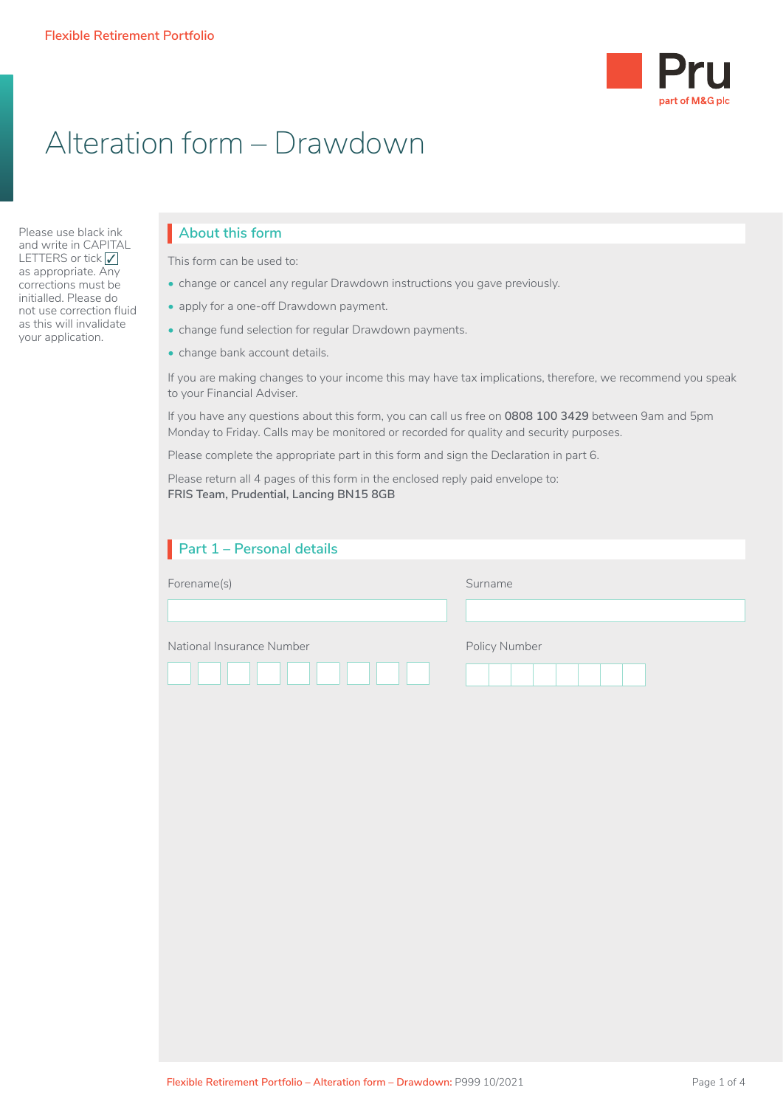

# Alteration form – Drawdown

Please use black ink and write in CAPITAL LETTERS or tick  $\sqrt{\phantom{a}}$ as appropriate. Any corrections must be initialled. Please do not use correction fluid as this will invalidate your application.

## **About this form**

This form can be used to:

- change or cancel any regular Drawdown instructions you gave previously.
- apply for a one-off Drawdown payment.
- change fund selection for regular Drawdown payments.
- change bank account details.

If you are making changes to your income this may have tax implications, therefore, we recommend you speak to your Financial Adviser.

If you have any questions about this form, you can call us free on **0808 100 3429** between 9am and 5pm Monday to Friday. Calls may be monitored or recorded for quality and security purposes.

Please complete the appropriate part in this form and sign the Declaration in part 6.

Please return all 4 pages of this form in the enclosed reply paid envelope to: **FRIS Team, Prudential, Lancing BN15 8GB**

| Part 1 - Personal details |               |
|---------------------------|---------------|
| Forename(s)               | Surname       |
| National Insurance Number | Policy Number |
|                           |               |
|                           |               |
|                           |               |
|                           |               |
|                           |               |
|                           |               |
|                           |               |
|                           |               |
|                           |               |
|                           |               |
|                           |               |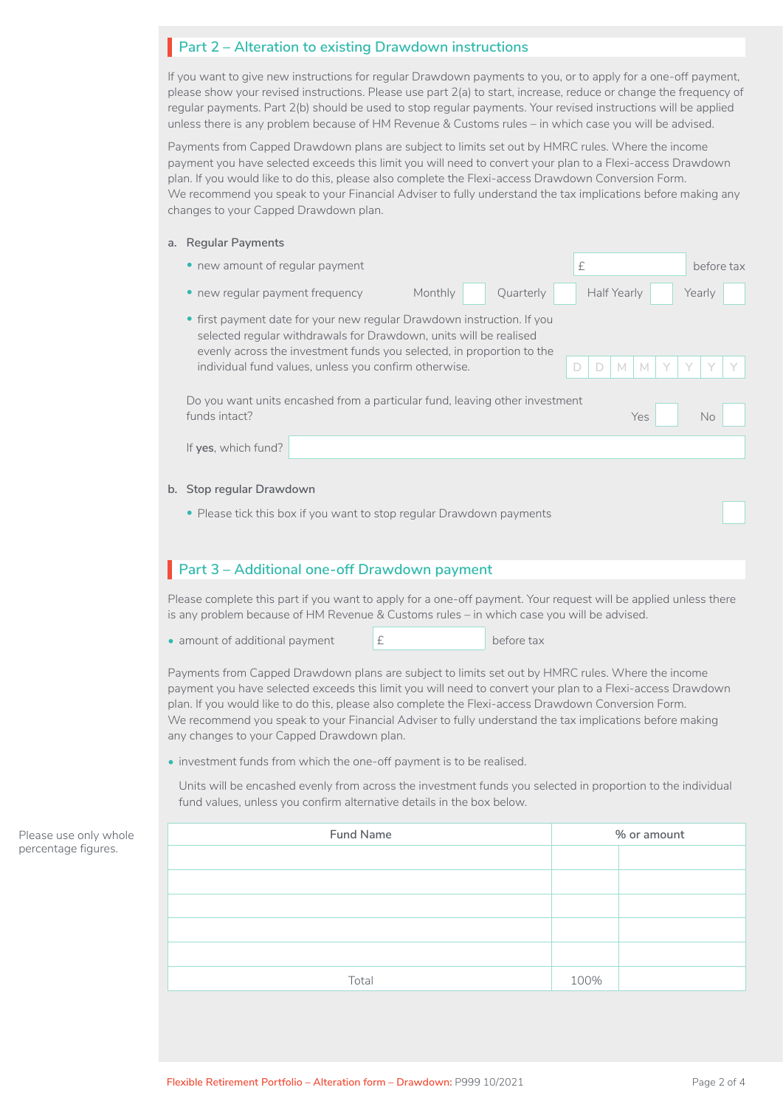### **Part 2 – Alteration to existing Drawdown instructions**

If you want to give new instructions for regular Drawdown payments to you, or to apply for a one-off payment, please show your revised instructions. Please use part 2(a) to start, increase, reduce or change the frequency of regular payments. Part 2(b) should be used to stop regular payments. Your revised instructions will be applied unless there is any problem because of HM Revenue & Customs rules – in which case you will be advised.

Payments from Capped Drawdown plans are subject to limits set out by HMRC rules. Where the income payment you have selected exceeds this limit you will need to convert your plan to a Flexi-access Drawdown plan. If you would like to do this, please also complete the Flexi-access Drawdown Conversion Form. We recommend you speak to your Financial Adviser to fully understand the tax implications before making any changes to your Capped Drawdown plan.

#### **a. Regular Payments**

| new amount of regular payment<br>$\bullet$                                                                                                                                                                      |                                                                       | £                           | before tax |
|-----------------------------------------------------------------------------------------------------------------------------------------------------------------------------------------------------------------|-----------------------------------------------------------------------|-----------------------------|------------|
| • new regular payment frequency                                                                                                                                                                                 | Monthly<br>Quarterly                                                  | Half Yearly                 | Yearly     |
| • first payment date for your new regular Drawdown instruction. If you<br>selected regular withdrawals for Drawdown, units will be realised<br>individual fund values, unless you confirm otherwise.            | evenly across the investment funds you selected, in proportion to the | $\mathsf{M}$<br>M<br>D<br>D |            |
| Do you want units encashed from a particular fund, leaving other investment                                                                                                                                     |                                                                       |                             |            |
| funds intact?                                                                                                                                                                                                   |                                                                       | Yes                         | No         |
| If yes, which fund?                                                                                                                                                                                             |                                                                       |                             |            |
| b. Stop regular Drawdown                                                                                                                                                                                        |                                                                       |                             |            |
| • Please tick this box if you want to stop regular Drawdown payments                                                                                                                                            |                                                                       |                             |            |
|                                                                                                                                                                                                                 |                                                                       |                             |            |
| Part 3 - Additional one-off Drawdown payment                                                                                                                                                                    |                                                                       |                             |            |
|                                                                                                                                                                                                                 |                                                                       |                             |            |
| Please complete this part if you want to apply for a one-off payment. Your request will be applied unless there<br>is any problem because of HM Revenue & Customs rules – in which case you will be advised.    |                                                                       |                             |            |
| • amount of additional payment                                                                                                                                                                                  | £<br>before tax                                                       |                             |            |
| Payments from Capped Drawdown plans are subject to limits set out by HMRC rules. Where the income<br>payment you haye selected exceeds this limit you will need to convert your plan to a Flexi-access Drawdown |                                                                       |                             |            |

payment you have selected exceeds this limit you will need to convert your plan to a Flexi-access Drawdown plan. If you would like to do this, please also complete the Flexi-access Drawdown Conversion Form. We recommend you speak to your Financial Adviser to fully understand the tax implications before making any changes to your Capped Drawdown plan.

• investment funds from which the one-off payment is to be realised.

Units will be encashed evenly from across the investment funds you selected in proportion to the individual fund values, unless you confirm alternative details in the box below.

| ole | Fund Name | % or amount |  |
|-----|-----------|-------------|--|
| L.  |           |             |  |
|     |           |             |  |
|     |           |             |  |
|     |           |             |  |
|     |           |             |  |
|     | Total     | 100%        |  |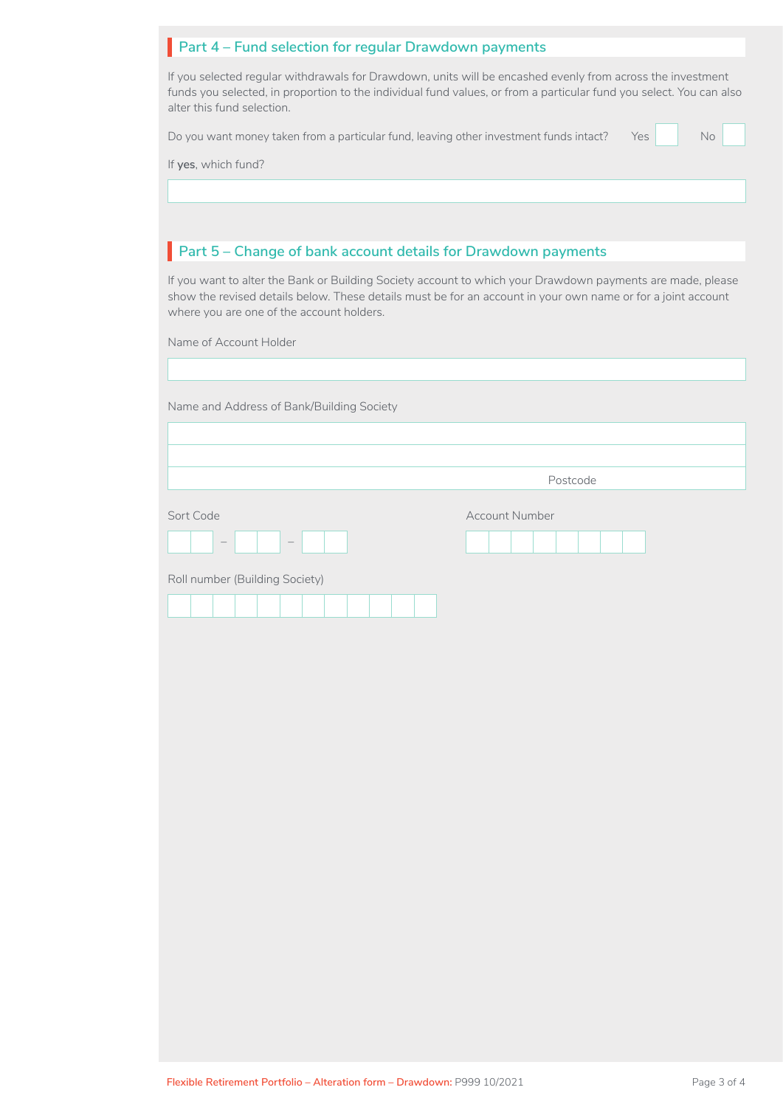| Part 4 - Fund selection for regular Drawdown payments |  |  |  |  |
|-------------------------------------------------------|--|--|--|--|
|-------------------------------------------------------|--|--|--|--|

If you selected regular withdrawals for Drawdown, units will be encashed evenly from across the investment funds you selected, in proportion to the individual fund values, or from a particular fund you select. You can also alter this fund selection.

Do you want money taken from a particular fund, leaving other investment funds intact? Yes

| No |  |
|----|--|
|    |  |

If **yes**, which fund?

## **Part 5 – Change of bank account details for Drawdown payments**

If you want to alter the Bank or Building Society account to which your Drawdown payments are made, please show the revised details below. These details must be for an account in your own name or for a joint account where you are one of the account holders.

Name of Account Holder

| Name and Address of Bank/Building Society |  |
|-------------------------------------------|--|
|-------------------------------------------|--|

Postcode

Account Number

| Sort Code |  |
|-----------|--|
|           |  |

Roll number (Building Society)

*– –*